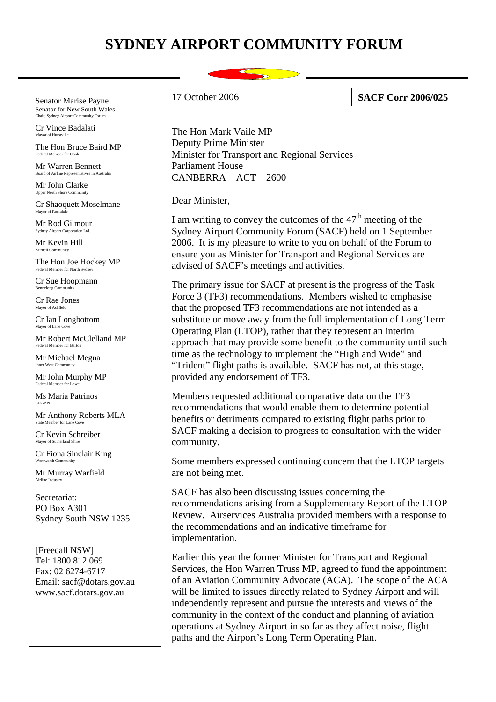## **SYDNEY AIRPORT COMMUNITY FORUM**

Senator Marise Payne Senator for New South Wales

Cr Vince Badalati Mayor of Hurstvi

The Hon Bruce Baird MP Federal Member for Cook

Mr Warren Bennett Board of Airline Representatives in Australia<br>The Representatives in Australia

Mr John Clarke Upper North Shore Community

Cr Shaoquett Moselmane Mayor of Rockdale

Mr Rod Gilmour Sydney Airport Corporation Ltd.

Mr Kevin Hill  $K$ urnell  $Com$ 

The Hon Joe Hockey MP Federal Member for North Sydney

Cr Sue Hoopmann ng Com

Cr Rae Jones Mayor of Ashfield

Cr Ian Longbottom Mayor of Lane  $C$ 

Mr Robert McClelland MP Federal Member for Barton

Mr Michael Megna Inner West Community

Mr John Murphy MP

Ms Maria Patrinos CRAAN

Mr Anthony Roberts MLA State Member for Lane C

Cr Kevin Schreiber Mayor of Sutherland Shire

Cr Fiona Sinclair King

Mr Murray Warfield Airline Industry

Secretariat: PO Box A301 Sydney South NSW 1235

[Freecall NSW] Tel: 1800 812 069 Fax: 02 6274-6717 Email: sacf@dotars.gov.au www.sacf.dotars.gov.au

17 October 2006 **SACF Corr 2006/025**

The Hon Mark Vaile MP Deputy Prime Minister Minister for Transport and Regional Services Parliament House CANBERRA ACT 2600

Dear Minister,

I am writing to convey the outcomes of the  $47<sup>th</sup>$  meeting of the Sydney Airport Community Forum (SACF) held on 1 September 2006. It is my pleasure to write to you on behalf of the Forum to ensure you as Minister for Transport and Regional Services are advised of SACF's meetings and activities.

The primary issue for SACF at present is the progress of the Task Force 3 (TF3) recommendations. Members wished to emphasise that the proposed TF3 recommendations are not intended as a substitute or move away from the full implementation of Long Term Operating Plan (LTOP), rather that they represent an interim approach that may provide some benefit to the community until such time as the technology to implement the "High and Wide" and "Trident" flight paths is available. SACF has not, at this stage, provided any endorsement of TF3.

Members requested additional comparative data on the TF3 recommendations that would enable them to determine potential benefits or detriments compared to existing flight paths prior to SACF making a decision to progress to consultation with the wider community.

Some members expressed continuing concern that the LTOP targets are not being met.

SACF has also been discussing issues concerning the recommendations arising from a Supplementary Report of the LTOP Review. Airservices Australia provided members with a response to the recommendations and an indicative timeframe for implementation.

Earlier this year the former Minister for Transport and Regional Services, the Hon Warren Truss MP, agreed to fund the appointment of an Aviation Community Advocate (ACA). The scope of the ACA will be limited to issues directly related to Sydney Airport and will independently represent and pursue the interests and views of the community in the context of the conduct and planning of aviation operations at Sydney Airport in so far as they affect noise, flight paths and the Airport's Long Term Operating Plan.